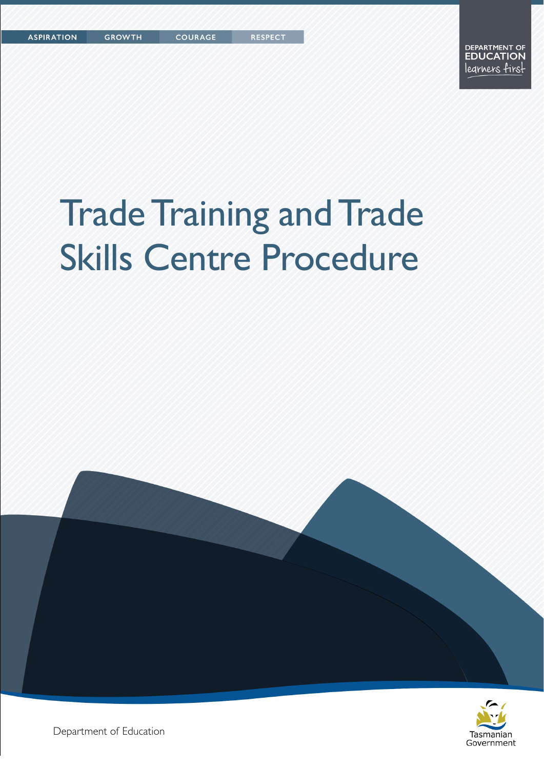# Trade Training and Trade Skills Centre Procedure





Department of Education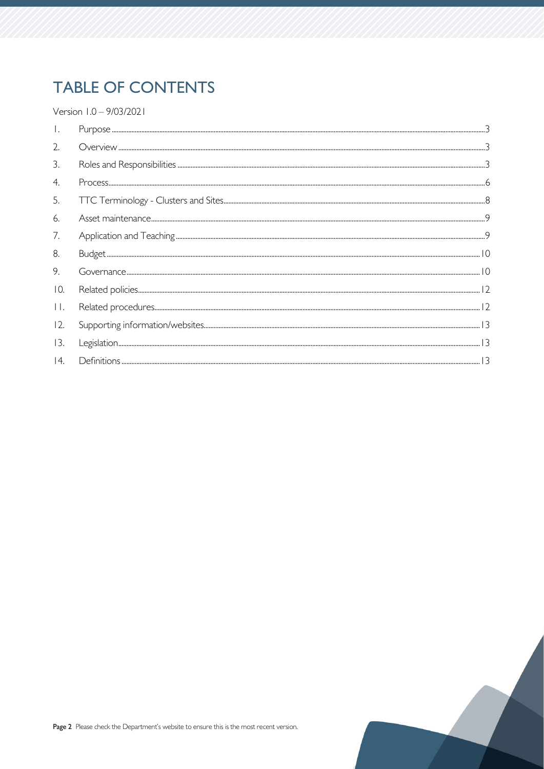## **TABLE OF CONTENTS**

Version 1.0 - 9/03/2021

| $\overline{2}$ . |  |
|------------------|--|
| $\mathcal{E}$    |  |
| 4.               |  |
| 5.               |  |
| 6.               |  |
| 7.               |  |
| 8.               |  |
| 9.               |  |
| 10.              |  |
| $\prod$          |  |
| 12.              |  |
| 13.              |  |
| 14.              |  |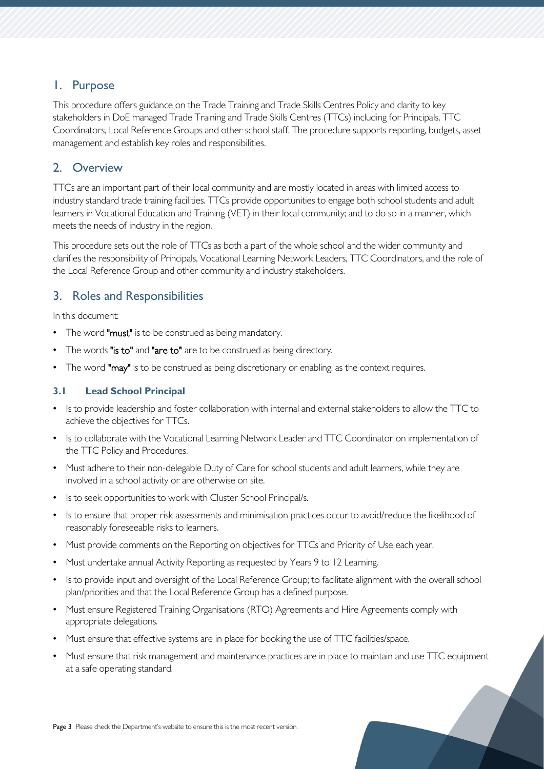## <span id="page-2-0"></span>1. Purpose

This procedure offers guidance on the Trade Training and Trade Skills Centres Policy and clarity to key stakeholders in DoE managed Trade Training and Trade Skills Centres (TTCs) including for Principals, TTC Coordinators, Local Reference Groups and other school staff. The procedure supports reporting, budgets, asset management and establish key roles and responsibilities.

## <span id="page-2-1"></span>2. Overview

TTCs are an important part of their local community and are mostly located in areas with limited access to industry standard trade training facilities. TTCs provide opportunities to engage both school students and adult learners in Vocational Education and Training (VET) in their local community; and to do so in a manner, which meets the needs of industry in the region.

This procedure sets out the role of TTCs as both a part of the whole school and the wider community and clarifies the responsibility of Principals, Vocational Learning Network Leaders, TTC Coordinators, and the role of the Local Reference Group and other community and industry stakeholders.

## <span id="page-2-2"></span>3. Roles and Responsibilities

In this document:

- The word "must" is to be construed as being mandatory.
- The words "is to" and "are to" are to be construed as being directory.
- The word "may" is to be construed as being discretionary or enabling, as the context requires.

## **3.1 Lead School Principal**

- Is to provide leadership and foster collaboration with internal and external stakeholders to allow the TTC to achieve the objectives for TTCs.
- Is to collaborate with the Vocational Learning Network Leader and TTC Coordinator on implementation of the TTC Policy and Procedures.
- Must adhere to their non-delegable Duty of Care for school students and adult learners, while they are involved in a school activity or are otherwise on site.
- Is to seek opportunities to work with Cluster School Principal/s.
- Is to ensure that proper risk assessments and minimisation practices occur to avoid/reduce the likelihood of reasonably foreseeable risks to learners.
- Must provide comments on the Reporting on objectives for TTCs and Priority of Use each year.
- Must undertake annual Activity Reporting as requested by Years 9 to 12 Learning.
- Is to provide input and oversight of the Local Reference Group; to facilitate alignment with the overall school plan/priorities and that the Local Reference Group has a defined purpose.
- Must ensure Registered Training Organisations (RTO) Agreements and Hire Agreements comply with appropriate delegations.
- Must ensure that effective systems are in place for booking the use of TTC facilities/space.
- Must ensure that risk management and maintenance practices are in place to maintain and use TTC equipment at a safe operating standard.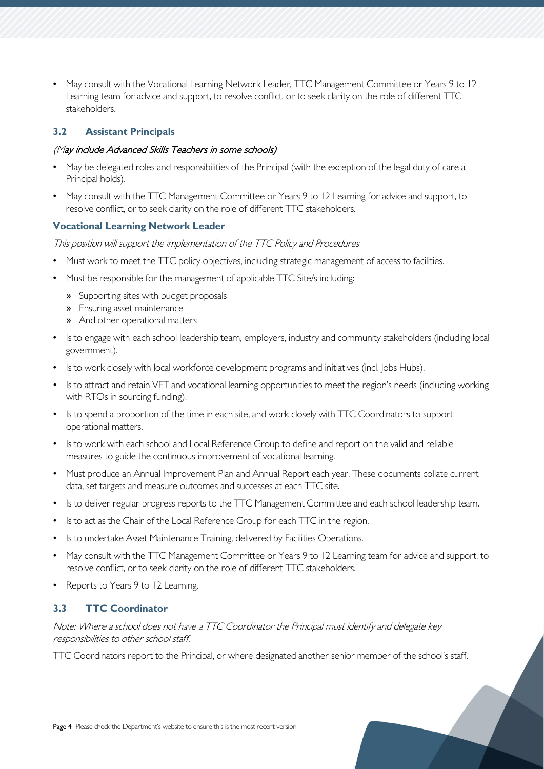• May consult with the Vocational Learning Network Leader, TTC Management Committee or Years 9 to 12 Learning team for advice and support, to resolve conflict, or to seek clarity on the role of different TTC stakeholders.

## **3.2 Assistant Principals**

## (May include Advanced Skills Teachers in some schools)

- May be delegated roles and responsibilities of the Principal (with the exception of the legal duty of care a Principal holds).
- May consult with the TTC Management Committee or Years 9 to 12 Learning for advice and support, to resolve conflict, or to seek clarity on the role of different TTC stakeholders.

## **Vocational Learning Network Leader**

This position will support the implementation of the TTC Policy and Procedures

- Must work to meet the TTC policy objectives, including strategic management of access to facilities.
- Must be responsible for the management of applicable TTC Site/s including:
	- » Supporting sites with budget proposals
	- » Ensuring asset maintenance
	- » And other operational matters
- Is to engage with each school leadership team, employers, industry and community stakeholders (including local government).
- Is to work closely with local workforce development programs and initiatives (incl. Jobs Hubs).
- Is to attract and retain VET and vocational learning opportunities to meet the region's needs (including working with RTOs in sourcing funding).
- Is to spend a proportion of the time in each site, and work closely with TTC Coordinators to support operational matters.
- Is to work with each school and Local Reference Group to define and report on the valid and reliable measures to guide the continuous improvement of vocational learning.
- Must produce an Annual Improvement Plan and Annual Report each year. These documents collate current data, set targets and measure outcomes and successes at each TTC site.
- Is to deliver regular progress reports to the TTC Management Committee and each school leadership team.
- Is to act as the Chair of the Local Reference Group for each TTC in the region.
- Is to undertake Asset Maintenance Training, delivered by Facilities Operations.
- May consult with the TTC Management Committee or Years 9 to 12 Learning team for advice and support, to resolve conflict, or to seek clarity on the role of different TTC stakeholders.
- Reports to Years 9 to 12 Learning.

#### **3.3 TTC Coordinator**

Note: Where a school does not have a TTC Coordinator the Principal must identify and delegate key responsibilities to other school staff.

TTC Coordinators report to the Principal, or where designated another senior member of the school's staff.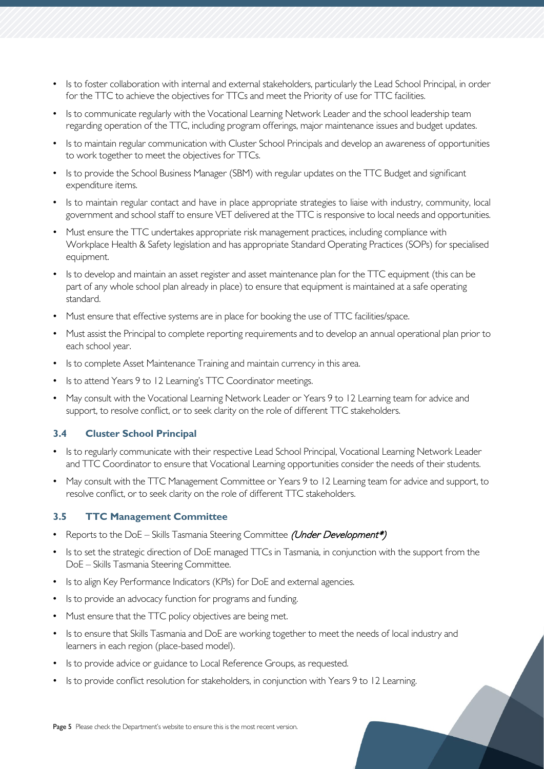- Is to foster collaboration with internal and external stakeholders, particularly the Lead School Principal, in order for the TTC to achieve the objectives for TTCs and meet the Priority of use for TTC facilities.
- Is to communicate regularly with the Vocational Learning Network Leader and the school leadership team regarding operation of the TTC, including program offerings, major maintenance issues and budget updates.
- Is to maintain regular communication with Cluster School Principals and develop an awareness of opportunities to work together to meet the objectives for TTCs.
- Is to provide the School Business Manager (SBM) with regular updates on the TTC Budget and significant expenditure items.
- Is to maintain regular contact and have in place appropriate strategies to liaise with industry, community, local government and school staff to ensure VET delivered at the TTC is responsive to local needs and opportunities.
- Must ensure the TTC undertakes appropriate risk management practices, including compliance with Workplace Health & Safety legislation and has appropriate Standard Operating Practices (SOPs) for specialised equipment.
- Is to develop and maintain an asset register and asset maintenance plan for the TTC equipment (this can be part of any whole school plan already in place) to ensure that equipment is maintained at a safe operating standard.
- Must ensure that effective systems are in place for booking the use of TTC facilities/space.
- Must assist the Principal to complete reporting requirements and to develop an annual operational plan prior to each school year.
- Is to complete Asset Maintenance Training and maintain currency in this area.
- Is to attend Years 9 to 12 Learning's TTC Coordinator meetings.
- May consult with the Vocational Learning Network Leader or Years 9 to 12 Learning team for advice and support, to resolve conflict, or to seek clarity on the role of different TTC stakeholders.

#### **3.4 Cluster School Principal**

- Is to regularly communicate with their respective Lead School Principal, Vocational Learning Network Leader and TTC Coordinator to ensure that Vocational Learning opportunities consider the needs of their students.
- May consult with the TTC Management Committee or Years 9 to 12 Learning team for advice and support, to resolve conflict, or to seek clarity on the role of different TTC stakeholders.

#### **3.5 TTC Management Committee**

- Reports to the DoE Skills Tasmania Steering Committee (Under Development\*)
- Is to set the strategic direction of DoE managed TTCs in Tasmania, in conjunction with the support from the DoE – Skills Tasmania Steering Committee.
- Is to align Key Performance Indicators (KPIs) for DoE and external agencies.
- Is to provide an advocacy function for programs and funding.
- Must ensure that the TTC policy objectives are being met.
- Is to ensure that Skills Tasmania and DoE are working together to meet the needs of local industry and learners in each region (place-based model).
- Is to provide advice or guidance to Local Reference Groups, as requested.
- Is to provide conflict resolution for stakeholders, in conjunction with Years 9 to 12 Learning.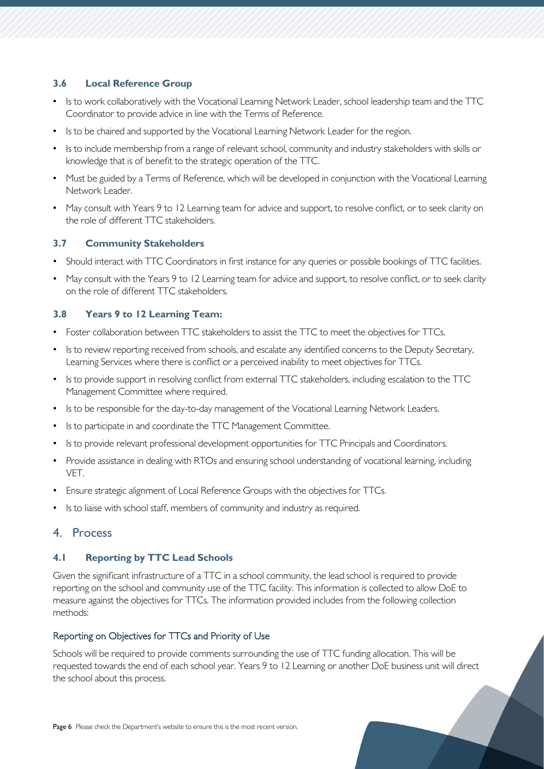## **3.6 Local Reference Group**

- Is to work collaboratively with the Vocational Learning Network Leader, school leadership team and the TTC Coordinator to provide advice in line with the Terms of Reference.
- Is to be chaired and supported by the Vocational Learning Network Leader for the region.
- Is to include membership from a range of relevant school, community and industry stakeholders with skills or knowledge that is of benefit to the strategic operation of the TTC.
- Must be guided by a Terms of Reference, which will be developed in conjunction with the Vocational Learning Network Leader.
- May consult with Years 9 to 12 Learning team for advice and support, to resolve conflict, or to seek clarity on the role of different TTC stakeholders.

#### **3.7 Community Stakeholders**

- Should interact with TTC Coordinators in first instance for any queries or possible bookings of TTC facilities.
- May consult with the Years 9 to 12 Learning team for advice and support, to resolve conflict, or to seek clarity on the role of different TTC stakeholders.

## **3.8 Years 9 to 12 Learning Team:**

- Foster collaboration between TTC stakeholders to assist the TTC to meet the objectives for TTCs.
- Is to review reporting received from schools, and escalate any identified concerns to the Deputy Secretary, Learning Services where there is conflict or a perceived inability to meet objectives for TTCs.
- Is to provide support in resolving conflict from external TTC stakeholders, including escalation to the TTC Management Committee where required.
- Is to be responsible for the day-to-day management of the Vocational Learning Network Leaders.
- Is to participate in and coordinate the TTC Management Committee.
- Is to provide relevant professional development opportunities for TTC Principals and Coordinators.
- Provide assistance in dealing with RTOs and ensuring school understanding of vocational learning, including VET.
- Ensure strategic alignment of Local Reference Groups with the objectives for TTCs.
- Is to liaise with school staff, members of community and industry as required.

## <span id="page-5-0"></span>4. Process

#### **4.1 Reporting by TTC Lead Schools**

Given the significant infrastructure of a TTC in a school community, the lead school is required to provide reporting on the school and community use of the TTC facility. This information is collected to allow DoE to measure against the objectives for TTCs. The information provided includes from the following collection methods:

#### Reporting on Objectives for TTCs and Priority of Use

Schools will be required to provide comments surrounding the use of TTC funding allocation. This will be requested towards the end of each school year. Years 9 to 12 Learning or another DoE business unit will direct the school about this process.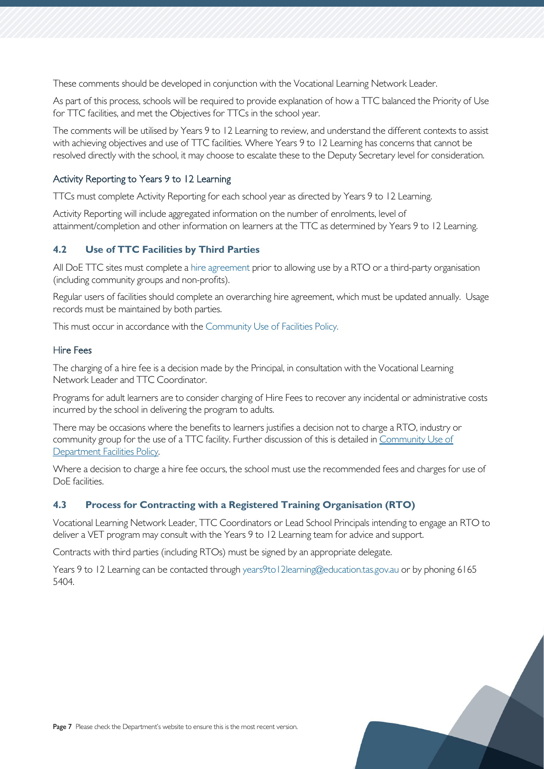These comments should be developed in conjunction with the Vocational Learning Network Leader.

As part of this process, schools will be required to provide explanation of how a TTC balanced the Priority of Use for TTC facilities, and met the Objectives for TTCs in the school year.

The comments will be utilised by Years 9 to 12 Learning to review, and understand the different contexts to assist with achieving objectives and use of TTC facilities. Where Years 9 to 12 Learning has concerns that cannot be resolved directly with the school, it may choose to escalate these to the Deputy Secretary level for consideration.

#### Activity Reporting to Years 9 to 12 Learning

TTCs must complete Activity Reporting for each school year as directed by Years 9 to 12 Learning.

Activity Reporting will include aggregated information on the number of enrolments, level of attainment/completion and other information on learners at the TTC as determined by Years 9 to 12 Learning.

## **4.2 Use of TTC Facilities by Third Parties**

All DoE TTC sites must complete a [hire agreement](https://tasedu.sharepoint.com/sites/intranet/_layouts/15/DocIdRedir.aspx?ID=TASED-1060461114-1165) prior to allowing use by a RTO or a third-party organisation (including community groups and non-profits).

Regular users of facilities should complete an overarching hire agreement, which must be updated annually. Usage records must be maintained by both parties.

This must occur in accordance with the [Community Use of Facilities Policy.](https://tasedu.sharepoint.com/sites/intranet/Document%20Centre/Community-use-of-Facilities-and-Resources-Policy.pdf)

#### Hire Fees

The charging of a hire fee is a decision made by the Principal, in consultation with the Vocational Learning Network Leader and TTC Coordinator.

Programs for adult learners are to consider charging of Hire Fees to recover any incidental or administrative costs incurred by the school in delivering the program to adults.

There may be occasions where the benefits to learners justifies a decision not to charge a RTO, industry or community group for the use of a TTC facility. Further discussion of this is detailed in Community Use of [Department Facilities Policy.](https://tasedu.sharepoint.com/sites/intranet/_layouts/15/DocIdRedir.aspx?ID=TASED-1060461114-3397)

Where a decision to charge a hire fee occurs, the school must use the recommended fees and charges for use of DoE facilities.

#### **4.3 Process for Contracting with a Registered Training Organisation (RTO)**

Vocational Learning Network Leader, TTC Coordinators or Lead School Principals intending to engage an RTO to deliver a VET program may consult with the Years 9 to 12 Learning team for advice and support.

Contracts with third parties (including RTOs) must be signed by an appropriate delegate.

<span id="page-6-0"></span>Years 9 to 12 Learning can be contacted through [years9to12learning@education.tas.gov.au](mailto:VLCE@education.tas.gov.au) or by phoning 6165 5404.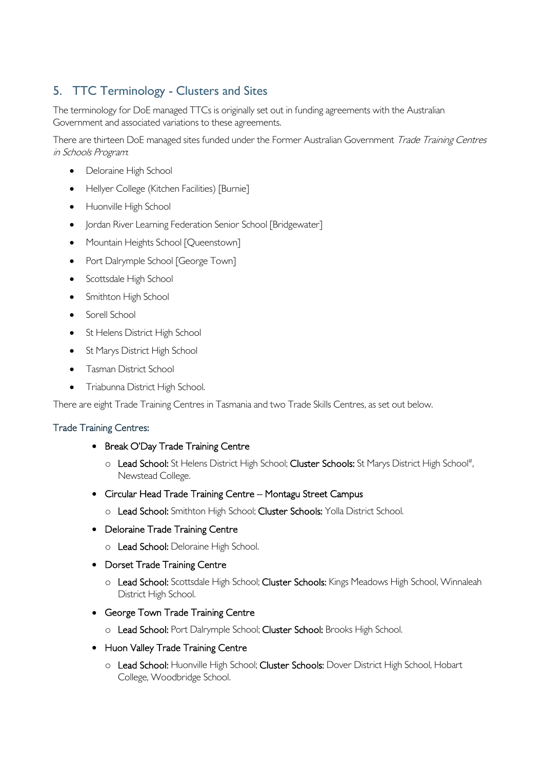## 5. TTC Terminology - Clusters and Sites

The terminology for DoE managed TTCs is originally set out in funding agreements with the Australian Government and associated variations to these agreements.

There are thirteen DoE managed sites funded under the Former Australian Government Trade Training Centres in Schools Program:

- Deloraine High School
- Hellyer College (Kitchen Facilities) [Burnie]
- Huonville High School
- Jordan River Learning Federation Senior School [Bridgewater]
- Mountain Heights School [Queenstown]
- Port Dalrymple School [George Town]
- Scottsdale High School
- Smithton High School
- Sorell School
- St Helens District High School
- St Marys District High School
- Tasman District School
- Triabunna District High School.

There are eight Trade Training Centres in Tasmania and two Trade Skills Centres, as set out below.

## Trade Training Centres:

- Break O'Day Trade Training Centre
	- o Lead School: St Helens District High School; Cluster Schools: St Marys District High School#, Newstead College.
- Circular Head Trade Training Centre Montagu Street Campus
	- o Lead School: Smithton High School; Cluster Schools: Yolla District School.
- Deloraine Trade Training Centre
	- o Lead School: Deloraine High School.
- Dorset Trade Training Centre
	- o Lead School: Scottsdale High School; Cluster Schools: Kings Meadows High School, Winnaleah District High School.
- George Town Trade Training Centre
	- o Lead School: Port Dalrymple School; Cluster School: Brooks High School.
- Huon Valley Trade Training Centre
	- o Lead School: Huonville High School; Cluster Schools: Dover District High School, Hobart College, Woodbridge School.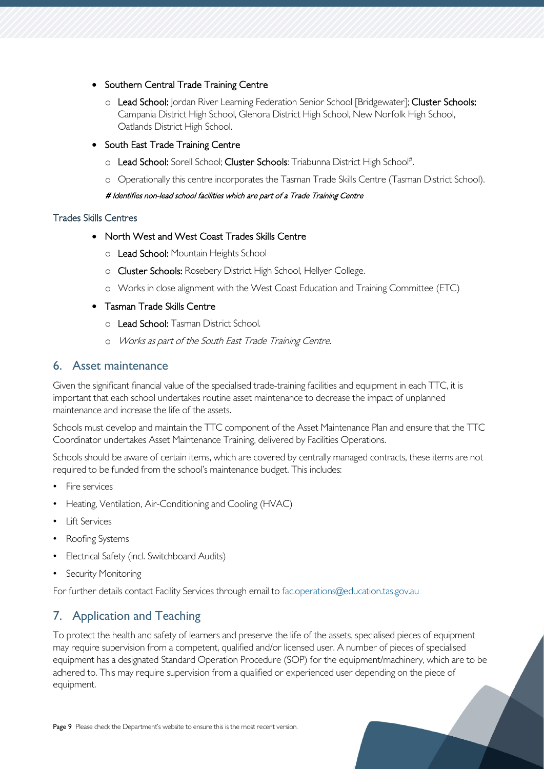- Southern Central Trade Training Centre
	- o Lead School: Jordan River Learning Federation Senior School [Bridgewater]; Cluster Schools: Campania District High School, Glenora District High School, New Norfolk High School, Oatlands District High School.
- South East Trade Training Centre
	- o Lead School: Sorell School; Cluster Schools: Triabunna District High School#.
	- o Operationally this centre incorporates the Tasman Trade Skills Centre (Tasman District School).

## # Identifies non-lead school facilities which are part of a Trade Training Centre

## Trades Skills Centres

- North West and West Coast Trades Skills Centre
	- o Lead School: Mountain Heights School
	- o Cluster Schools: Rosebery District High School, Hellyer College.
	- o Works in close alignment with the West Coast Education and Training Committee (ETC)

## • Tasman Trade Skills Centre

- o Lead School: Tasman District School.
- o Works as part of the South East Trade Training Centre.

## <span id="page-8-0"></span>6. Asset maintenance

Given the significant financial value of the specialised trade-training facilities and equipment in each TTC, it is important that each school undertakes routine asset maintenance to decrease the impact of unplanned maintenance and increase the life of the assets.

Schools must develop and maintain the TTC component of the Asset Maintenance Plan and ensure that the TTC Coordinator undertakes Asset Maintenance Training, delivered by Facilities Operations.

Schools should be aware of certain items, which are covered by centrally managed contracts, these items are not required to be funded from the school's maintenance budget. This includes:

- Fire services
- Heating, Ventilation, Air-Conditioning and Cooling (HVAC)
- Lift Services
- Roofing Systems
- Electrical Safety (incl. Switchboard Audits)
- Security Monitoring

For further details contact Facility Services through email to [fac.operations@education.tas.gov.au](mailto:fac.operations@education.tas.gov.au)

## <span id="page-8-1"></span>7. Application and Teaching

To protect the health and safety of learners and preserve the life of the assets, specialised pieces of equipment may require supervision from a competent, qualified and/or licensed user. A number of pieces of specialised equipment has a designated Standard Operation Procedure (SOP) for the equipment/machinery, which are to be adhered to. This may require supervision from a qualified or experienced user depending on the piece of equipment.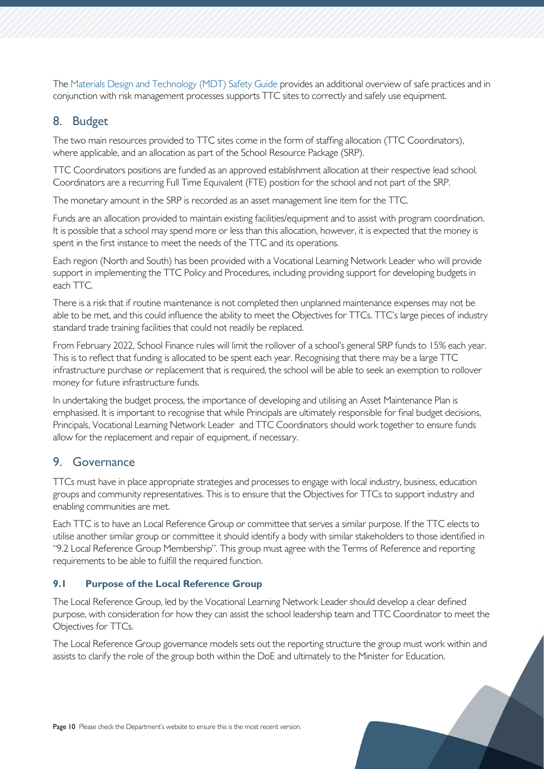The [Materials Design and Technology \(MDT\)](https://tasedu.sharepoint.com/sites/intranet/_layouts/15/DocIdRedir.aspx?ID=TASED-1060461114-204) [Safety Guide](https://tasedu.sharepoint.com/sites/intranet/_layouts/15/DocIdRedir.aspx?ID=TASED-1060461114-204) provides an additional overview of safe practices and in conjunction with risk management processes supports TTC sites to correctly and safely use equipment.

## <span id="page-9-0"></span>8. Budget

The two main resources provided to TTC sites come in the form of staffing allocation (TTC Coordinators), where applicable, and an allocation as part of the School Resource Package (SRP).

TTC Coordinators positions are funded as an approved establishment allocation at their respective lead school. Coordinators are a recurring Full Time Equivalent (FTE) position for the school and not part of the SRP.

The monetary amount in the SRP is recorded as an asset management line item for the TTC.

Funds are an allocation provided to maintain existing facilities/equipment and to assist with program coordination. It is possible that a school may spend more or less than this allocation, however, it is expected that the money is spent in the first instance to meet the needs of the TTC and its operations.

Each region (North and South) has been provided with a Vocational Learning Network Leader who will provide support in implementing the TTC Policy and Procedures, including providing support for developing budgets in each TTC.

There is a risk that if routine maintenance is not completed then unplanned maintenance expenses may not be able to be met, and this could influence the ability to meet the Objectives for TTCs. TTC's large pieces of industry standard trade training facilities that could not readily be replaced.

From February 2022, School Finance rules will limit the rollover of a school's general SRP funds to 15% each year. This is to reflect that funding is allocated to be spent each year. Recognising that there may be a large TTC infrastructure purchase or replacement that is required, the school will be able to seek an exemption to rollover money for future infrastructure funds.

In undertaking the budget process, the importance of developing and utilising an Asset Maintenance Plan is emphasised. It is important to recognise that while Principals are ultimately responsible for final budget decisions, Principals, Vocational Learning Network Leader and TTC Coordinators should work together to ensure funds allow for the replacement and repair of equipment, if necessary.

## <span id="page-9-1"></span>9. Governance

TTCs must have in place appropriate strategies and processes to engage with local industry, business, education groups and community representatives. This is to ensure that the Objectives for TTCs to support industry and enabling communities are met.

Each TTC is to have an Local Reference Group or committee that serves a similar purpose. If the TTC elects to utilise another similar group or committee it should identify a body with similar stakeholders to those identified in "9.2 Local Reference Group Membership". This group must agree with the Terms of Reference and reporting requirements to be able to fulfill the required function.

## **9.1 Purpose of the Local Reference Group**

The Local Reference Group, led by the Vocational Learning Network Leader should develop a clear defined purpose, with consideration for how they can assist the school leadership team and TTC Coordinator to meet the Objectives for TTCs.

The Local Reference Group governance models sets out the reporting structure the group must work within and assists to clarify the role of the group both within the DoE and ultimately to the Minister for Education.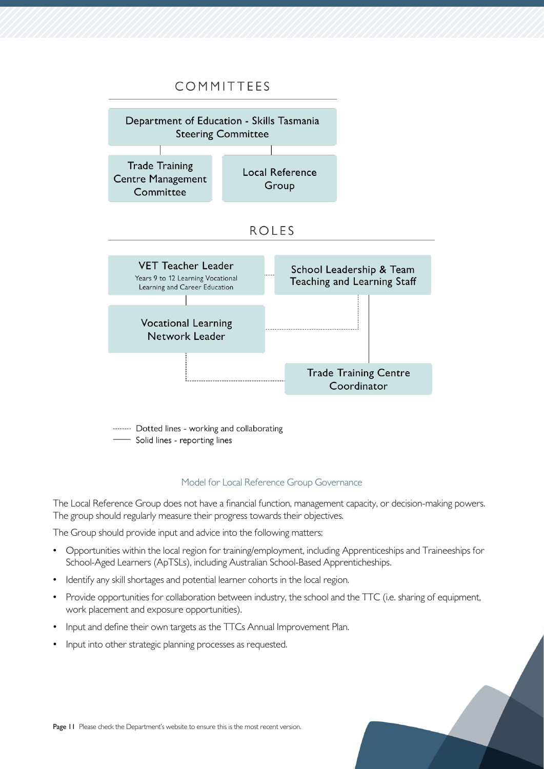## COMMITTEES



- Solid lines - reporting lines

#### Model for Local Reference Group Governance

The Local Reference Group does not have a financial function, management capacity, or decision-making powers. The group should regularly measure their progress towards their objectives.

The Group should provide input and advice into the following matters:

- Opportunities within the local region for training/employment, including Apprenticeships and Traineeships for School-Aged Learners (ApTSLs), including Australian School-Based Apprenticheships.
- Identify any skill shortages and potential learner cohorts in the local region.
- Provide opportunities for collaboration between industry, the school and the TTC (i.e. sharing of equipment, work placement and exposure opportunities).
- Input and define their own targets as the TTCs Annual Improvement Plan.
- Input into other strategic planning processes as requested.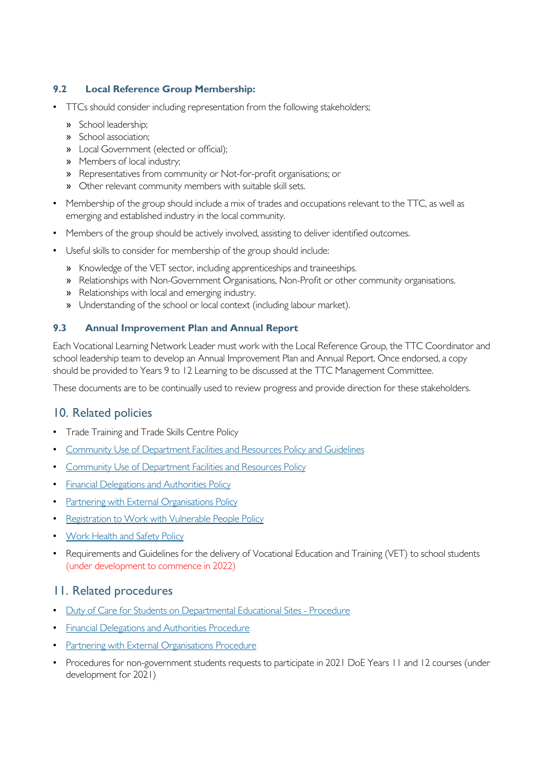## **9.2 Local Reference Group Membership:**

- TTCs should consider including representation from the following stakeholders;
	- » School leadership;
	- » School association;
	- » Local Government (elected or official);
	- » Members of local industry;
	- » Representatives from community or Not-for-profit organisations; or
	- » Other relevant community members with suitable skill sets.
- Membership of the group should include a mix of trades and occupations relevant to the TTC, as well as emerging and established industry in the local community.
- Members of the group should be actively involved, assisting to deliver identified outcomes.
- Useful skills to consider for membership of the group should include:
	- » Knowledge of the VET sector, including apprenticeships and traineeships.
	- » Relationships with Non-Government Organisations, Non-Profit or other community organisations.
	- » Relationships with local and emerging industry.
	- » Understanding of the school or local context (including labour market).

## **9.3 Annual Improvement Plan and Annual Report**

Each Vocational Learning Network Leader must work with the Local Reference Group, the TTC Coordinator and school leadership team to develop an Annual Improvement Plan and Annual Report. Once endorsed, a copy should be provided to Years 9 to 12 Learning to be discussed at the TTC Management Committee.

These documents are to be continually used to review progress and provide direction for these stakeholders.

## <span id="page-11-0"></span>10. Related policies

- Trade Training and Trade Skills Centre Policy
- [Community Use of Department Facilities and Resources Policy and Guidelines](https://tasedu.sharepoint.com/sites/intranet/_layouts/15/DocIdRedir.aspx?ID=TASED-1060461114-1168)
- [Community Use of Department Facilities and Resources Policy](https://tasedu.sharepoint.com/sites/intranet/_layouts/15/DocIdRedir.aspx?ID=TASED-1060461114-3397)
- **[Financial Delegations and Authorities Policy](https://tasedu.sharepoint.com/sites/intranet/Document%20Centre/Financial-Delegations-and-Authorities-Policy.pdf)**
- **[Partnering with External Organisations Policy](https://publicdocumentcentre.education.tas.gov.au/_layouts/15/DocIdRedir.aspx?ID=TASED-4-4947)**
- [Registration to Work with Vulnerable People Policy](https://publicdocumentcentre.education.tas.gov.au/_layouts/15/DocIdRedir.aspx?ID=TASED-1797567314-8803)
- [Work Health and Safety Policy](https://tasedu.sharepoint.com/sites/intranet/_layouts/15/DocIdRedir.aspx?ID=TASED-1060461114-449)
- Requirements and Guidelines for the delivery of Vocational Education and Training (VET) to school students (under development to commence in 2022)

## <span id="page-11-1"></span>11. Related procedures

- [Duty of Care for Students on Departmental Educational Sites -](https://tasedu.sharepoint.com/sites/intranet/_layouts/15/DocIdRedir.aspx?ID=TASED-1060461114-597) [Procedure](https://tasedu.sharepoint.com/sites/intranet/_layouts/15/DocIdRedir.aspx?ID=TASED-1060461114-597)
- [Financial Delegations and Authorities Procedure](https://tasedu.sharepoint.com/sites/intranet/Document%20Centre/Financial-Delegations-and-Authorities-Procedure.pdf)
- [Partnering with External Organisations Procedure](https://publicdocumentcentre.education.tas.gov.au/_layouts/15/DocIdRedir.aspx?ID=TASED-4-4948)
- Procedures for non-government students requests to participate in 2021 DoE Years 11 and 12 courses (under development for 2021)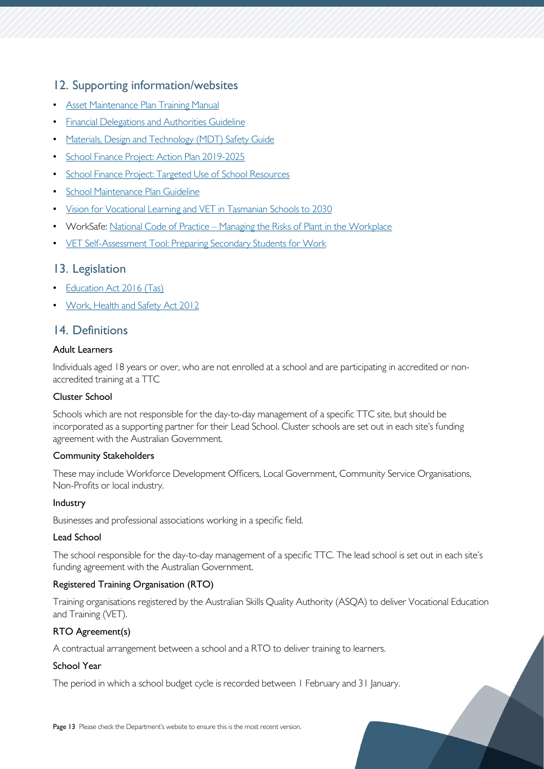## <span id="page-12-0"></span>12. Supporting information/websites

- [Asset Maintenance Plan Training Manual](https://tasedu.sharepoint.com/sites/intranet/Shared%20Documents/Asset-Maintenance-Plan-Training-Manual.pdf)
- [Financial Delegations and Authorities Guideline](https://tasedu.sharepoint.com/sites/intranet/Document%20Centre/Financial-Delegations-and-Authorities-Guideline.pdf)
- [Materials, Design and Technology \(MDT\) Safety Guide](https://tasedu.sharepoint.com/sites/intranet/_layouts/15/DocIdRedir.aspx?ID=TASED-1060461114-204)
- [School Finance Project: Action Plan 2019-2025](https://tasedu.sharepoint.com/sites/intranet/Shared%20Documents/School%20Finance%20Project%20-%20Action%20Plan.pdf)
- [School Finance Project: Targeted Use of School Resources](https://tasedu.sharepoint.com/sites/intranet/Shared%20Documents/School%20Finance%20Project%20-%20One%20Page%20Summary.pdf)
- [School Maintenance Plan Guideline](https://tasedu.sharepoint.com/sites/intranet/_layouts/15/DocIdRedir.aspx?ID=TASED-1060461114-863)
- [Vision for Vocational Learning and VET in Tasmanian Schools to 2030](https://publicdocumentcentre.education.tas.gov.au/library/Shared%20Documents/Vison%20for%20Vocational%20Learning%20and%20VET%20in%20Tasmanian%20Schools%20to%202030.pdf)
- WorkSafe: National Code of Practice [Managing the Risks of Plant in the Workplace](https://worksafe.tas.gov.au/topics/laws-and-compliance/codes-of-practice/cop-folder/managing-the-risks-of-plant-in-the-workplace)
- [VET Self-Assessment Tool: Preparing Secondary Students for Work](https://pssfw.myskills.gov.au/vet-self-assessment-tool-for-schools/)

## <span id="page-12-1"></span>13. Legislation

- [Education Act 2016 \(Tas\)](https://www.legislation.tas.gov.au/view/html/inforce/current/act-2016-051)
- [Work, Health and Safety Act 2012](https://www.legislation.tas.gov.au/view/whole/html/inforce/current/act-2012-001)

## <span id="page-12-2"></span>14. Definitions

## Adult Learners

Individuals aged 18 years or over, who are not enrolled at a school and are participating in accredited or nonaccredited training at a TTC

## Cluster School

Schools which are not responsible for the day-to-day management of a specific TTC site, but should be incorporated as a supporting partner for their Lead School. Cluster schools are set out in each site's funding agreement with the Australian Government.

## Community Stakeholders

These may include Workforce Development Officers, Local Government, Community Service Organisations, Non-Profits or local industry.

## Industry

Businesses and professional associations working in a specific field.

## Lead School

The school responsible for the day-to-day management of a specific TTC. The lead school is set out in each site's funding agreement with the Australian Government.

## Registered Training Organisation (RTO)

Training organisations registered by the Australian Skills Quality Authority (ASQA) to deliver Vocational Education and Training (VET).

## RTO Agreement(s)

A contractual arrangement between a school and a RTO to deliver training to learners.

## School Year

The period in which a school budget cycle is recorded between 1 February and 31 January.